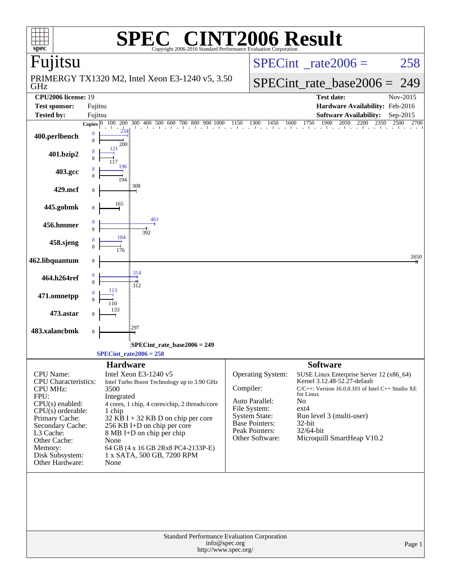|                                          | $\mathbf{P}(\mathbb{R})$                                                             | <b>NT2006 Result</b>                                                                                                                                                                                                                                                                     |
|------------------------------------------|--------------------------------------------------------------------------------------|------------------------------------------------------------------------------------------------------------------------------------------------------------------------------------------------------------------------------------------------------------------------------------------|
| $spec^*$<br>Fujitsu                      | Copyright 2006-2016 Standard Performance Evaluation Corporation                      | $SPECint^{\circ}$ <sub>_rate2006</sub> =<br>258                                                                                                                                                                                                                                          |
|                                          | PRIMERGY TX1320 M2, Intel Xeon E3-1240 v5, 3.50                                      | $SPECint_rate\_base2006 =$<br>249                                                                                                                                                                                                                                                        |
| GHz<br><b>CPU2006</b> license: 19        |                                                                                      | <b>Test date:</b><br>Nov-2015                                                                                                                                                                                                                                                            |
| <b>Test sponsor:</b>                     | Fujitsu                                                                              | Hardware Availability: Feb-2016                                                                                                                                                                                                                                                          |
| <b>Tested by:</b>                        | Fujitsu                                                                              | <b>Software Availability:</b><br>Sep-2015                                                                                                                                                                                                                                                |
|                                          |                                                                                      | <b>Copies</b> $\begin{bmatrix} 0 & 100 & 200 & 300 & 400 & 500 & 600 & 700 & 800 & 900 & 1000 & 1150 & 1300 & 1450 & 1600 & 1750 & 1900 & 2050 & 2200 & 2350 & 2500 & 2700 & 2350 & 2350 & 2350 & 2350 & 2350 & 2350 & 2350 & 2350 & 2350 & 2350 & 2350 & 2350 & 2350 & 2350 & $<br>2700 |
| 400.perlbench                            | 8<br>8<br>200                                                                        |                                                                                                                                                                                                                                                                                          |
| 401.bzip2                                | 121                                                                                  |                                                                                                                                                                                                                                                                                          |
| 403.gcc                                  | 196<br>194                                                                           |                                                                                                                                                                                                                                                                                          |
| 429.mcf                                  | 308<br>8                                                                             |                                                                                                                                                                                                                                                                                          |
| 445.gobmk                                | 165<br>8<br>461                                                                      |                                                                                                                                                                                                                                                                                          |
| 456.hmmer                                | 8<br>392<br>184                                                                      |                                                                                                                                                                                                                                                                                          |
| 458.sjeng                                | 176                                                                                  |                                                                                                                                                                                                                                                                                          |
| 462.libquantum                           | 8<br>314                                                                             | 2650                                                                                                                                                                                                                                                                                     |
| 464.h264ref                              | 312                                                                                  |                                                                                                                                                                                                                                                                                          |
| 471.omnetpp                              | 110                                                                                  |                                                                                                                                                                                                                                                                                          |
| 473.astar                                | 297                                                                                  |                                                                                                                                                                                                                                                                                          |
| 483.xalancbmk                            | 8                                                                                    |                                                                                                                                                                                                                                                                                          |
|                                          | SPECint_rate_base2006 = 249<br>$SPECint_rate2006 = 258$                              |                                                                                                                                                                                                                                                                                          |
|                                          | <b>Hardware</b>                                                                      | <b>Software</b>                                                                                                                                                                                                                                                                          |
| CPU Name:<br><b>CPU</b> Characteristics: | Intel Xeon E3-1240 v5<br>Intel Turbo Boost Technology up to 3.90 GHz                 | Operating System:<br>SUSE Linux Enterprise Server 12 (x86_64)<br>Kernel 3.12.48-52.27-default                                                                                                                                                                                            |
| <b>CPU MHz:</b><br>FPU:                  | 3500<br>Integrated                                                                   | Compiler:<br>$C/C++$ : Version 16.0.0.101 of Intel $C++$ Studio XE<br>for Linux                                                                                                                                                                                                          |
| CPU(s) enabled:                          | 4 cores, 1 chip, 4 cores/chip, 2 threads/core                                        | Auto Parallel:<br>No                                                                                                                                                                                                                                                                     |
| $CPU(s)$ orderable:<br>Primary Cache:    | 1 chip<br>$32$ KB I + 32 KB D on chip per core                                       | File System:<br>$ext{4}$<br><b>System State:</b><br>Run level 3 (multi-user)                                                                                                                                                                                                             |
| Secondary Cache:                         | 256 KB I+D on chip per core                                                          | <b>Base Pointers:</b><br>$32$ -bit                                                                                                                                                                                                                                                       |
| L3 Cache:                                | $8 \text{ MB I+D}$ on chip per chip<br>None                                          | Peak Pointers:<br>32/64-bit<br>Microquill SmartHeap V10.2<br>Other Software:                                                                                                                                                                                                             |
| Other Cache:<br>Memory:                  | 64 GB (4 x 16 GB 2Rx8 PC4-2133P-E)                                                   |                                                                                                                                                                                                                                                                                          |
| Disk Subsystem:<br>Other Hardware:       | 1 x SATA, 500 GB, 7200 RPM<br>None                                                   |                                                                                                                                                                                                                                                                                          |
|                                          |                                                                                      |                                                                                                                                                                                                                                                                                          |
|                                          | Standard Performance Evaluation Corporation<br>info@spec.org<br>http://www.spec.org/ | Page 1                                                                                                                                                                                                                                                                                   |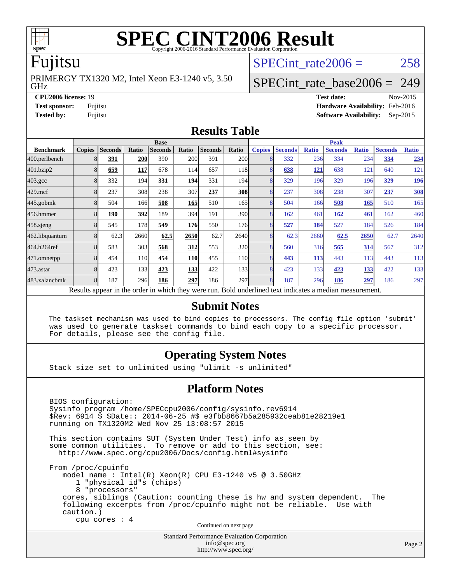

# **[SPEC CINT2006 Result](http://www.spec.org/auto/cpu2006/Docs/result-fields.html#SPECCINT2006Result)**

### Fujitsu

GHz PRIMERGY TX1320 M2, Intel Xeon E3-1240 v5, 3.50 SPECint rate $2006 = 258$ 

### [SPECint\\_rate\\_base2006 =](http://www.spec.org/auto/cpu2006/Docs/result-fields.html#SPECintratebase2006) 249

**[CPU2006 license:](http://www.spec.org/auto/cpu2006/Docs/result-fields.html#CPU2006license)** 19 **[Test date:](http://www.spec.org/auto/cpu2006/Docs/result-fields.html#Testdate)** Nov-2015 **[Test sponsor:](http://www.spec.org/auto/cpu2006/Docs/result-fields.html#Testsponsor)** Fujitsu **[Hardware Availability:](http://www.spec.org/auto/cpu2006/Docs/result-fields.html#HardwareAvailability)** Feb-2016 **[Tested by:](http://www.spec.org/auto/cpu2006/Docs/result-fields.html#Testedby)** Fujitsu **[Software Availability:](http://www.spec.org/auto/cpu2006/Docs/result-fields.html#SoftwareAvailability)** Sep-2015

### **[Results Table](http://www.spec.org/auto/cpu2006/Docs/result-fields.html#ResultsTable)**

|                    |                                                                                                          | <b>Base</b>    |            |                |            |                | <b>Peak</b>      |                |                |              |                |              |                |              |
|--------------------|----------------------------------------------------------------------------------------------------------|----------------|------------|----------------|------------|----------------|------------------|----------------|----------------|--------------|----------------|--------------|----------------|--------------|
| <b>Benchmark</b>   | <b>Copies</b>                                                                                            | <b>Seconds</b> | Ratio      | <b>Seconds</b> | Ratio      | <b>Seconds</b> | Ratio            | <b>Copies</b>  | <b>Seconds</b> | <b>Ratio</b> | <b>Seconds</b> | <b>Ratio</b> | <b>Seconds</b> | <b>Ratio</b> |
| 400.perlbench      |                                                                                                          | 391            | <b>200</b> | 390            | <b>200</b> | 391            | <b>200</b>       |                | 332            | 236          | 334            | 234          | 334            | 234          |
| 401.bzip2          |                                                                                                          | 659            | <b>117</b> | 678            | 114        | 657            | 118              |                | 638            | <u>121</u>   | 638            | 121          | 640            | 121          |
| $403.\mathrm{gcc}$ |                                                                                                          | 332            | 194        | 331            | 194        | 331            | 194              |                | 329            | 196          | 329            | 196          | <u>329</u>     | <u>196</u>   |
| $429$ .mcf         |                                                                                                          | 237            | 308        | 238            | 307        | 237            | <b>308</b>       | 8              | 237            | 308          | 238            | 307          | 237            | <b>308</b>   |
| $445$ .gobmk       |                                                                                                          | 504            | 166        | 508            | 165        | 510            | 165              | 8              | 504            | 166          | 508            | 165          | 510            | 165          |
| 456.hmmer          |                                                                                                          | 190            | 392        | 189            | 394        | 191            | 390l             | 8              | 162            | 461          | 162            | 461          | 162            | 460          |
| $458$ .sjeng       | 8                                                                                                        | 545            | 178        | 549            | <b>176</b> | 550            | 176 <sub>l</sub> |                | 527            | 184          | 527            | 184          | 526            | 184          |
| 462.libquantum     |                                                                                                          | 62.3           | 2660       | 62.5           | 2650       | 62.7           | 2640             |                | 62.3           | 2660         | 62.5           | 2650         | 62.7           | 2640         |
| 464.h264ref        |                                                                                                          | 583            | 303        | 568            | 312        | 553            | 320l             | 8              | 560            | 316          | 565            | 314          | 567            | 312          |
| 471.omnetpp        |                                                                                                          | 454            | 110        | 454            | <b>110</b> | 455            | 11 <sub>0</sub>  |                | 443            | 113          | 443            | 113          | 443            | 113          |
| $473$ . astar      |                                                                                                          | 423            | 133        | 423            | <b>133</b> | 422            | 133              | $\overline{8}$ | 423            | 133          | 423            | 133          | 422            | 133          |
| 483.xalancbmk      |                                                                                                          | 187            | 296        | 186            | 297        | 186            | 297              | 8              | 187            | 296          | 186            | 297          | 186            | 297          |
|                    | Results appear in the order in which they were run. Bold underlined text indicates a median measurement. |                |            |                |            |                |                  |                |                |              |                |              |                |              |

### **[Submit Notes](http://www.spec.org/auto/cpu2006/Docs/result-fields.html#SubmitNotes)**

 The taskset mechanism was used to bind copies to processors. The config file option 'submit' was used to generate taskset commands to bind each copy to a specific processor. For details, please see the config file.

### **[Operating System Notes](http://www.spec.org/auto/cpu2006/Docs/result-fields.html#OperatingSystemNotes)**

Stack size set to unlimited using "ulimit -s unlimited"

### **[Platform Notes](http://www.spec.org/auto/cpu2006/Docs/result-fields.html#PlatformNotes)**

 BIOS configuration: Sysinfo program /home/SPECcpu2006/config/sysinfo.rev6914 \$Rev: 6914 \$ \$Date:: 2014-06-25 #\$ e3fbb8667b5a285932ceab81e28219e1 running on TX1320M2 Wed Nov 25 13:08:57 2015 This section contains SUT (System Under Test) info as seen by some common utilities. To remove or add to this section, see: <http://www.spec.org/cpu2006/Docs/config.html#sysinfo> From /proc/cpuinfo model name : Intel(R) Xeon(R) CPU E3-1240 v5 @ 3.50GHz 1 "physical id"s (chips) 8 "processors" cores, siblings (Caution: counting these is hw and system dependent. The following excerpts from /proc/cpuinfo might not be reliable. Use with caution.) cpu cores : 4 Continued on next page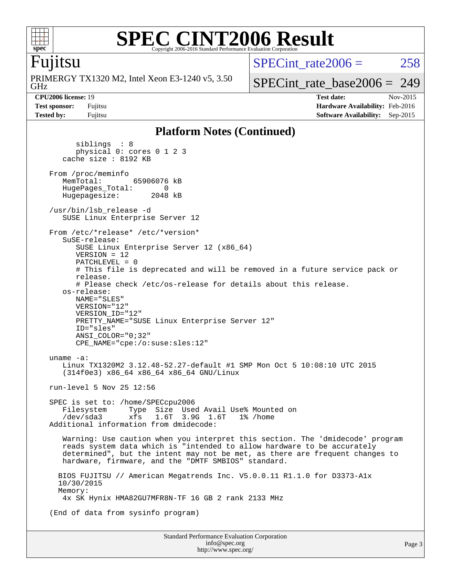

### **[SPEC CINT2006 Result](http://www.spec.org/auto/cpu2006/Docs/result-fields.html#SPECCINT2006Result)** Copyright 2006-2016 Standard Performance Evaluation Corporation

### Fujitsu

GHz PRIMERGY TX1320 M2, Intel Xeon E3-1240 v5, 3.50 SPECint rate $2006 = 258$ 

[SPECint\\_rate\\_base2006 =](http://www.spec.org/auto/cpu2006/Docs/result-fields.html#SPECintratebase2006) 249

**[CPU2006 license:](http://www.spec.org/auto/cpu2006/Docs/result-fields.html#CPU2006license)** 19 **[Test date:](http://www.spec.org/auto/cpu2006/Docs/result-fields.html#Testdate)** Nov-2015 **[Test sponsor:](http://www.spec.org/auto/cpu2006/Docs/result-fields.html#Testsponsor)** Fujitsu **[Hardware Availability:](http://www.spec.org/auto/cpu2006/Docs/result-fields.html#HardwareAvailability)** Feb-2016 **[Tested by:](http://www.spec.org/auto/cpu2006/Docs/result-fields.html#Testedby)** Fujitsu **[Software Availability:](http://www.spec.org/auto/cpu2006/Docs/result-fields.html#SoftwareAvailability)** Sep-2015

### **[Platform Notes \(Continued\)](http://www.spec.org/auto/cpu2006/Docs/result-fields.html#PlatformNotes)**

 siblings : 8 physical 0: cores 0 1 2 3 cache size : 8192 KB From /proc/meminfo<br>MemTotal: 65906076 kB HugePages\_Total: 0<br>Hugepagesize: 2048 kB Hugepagesize: /usr/bin/lsb\_release -d SUSE Linux Enterprise Server 12 From /etc/\*release\* /etc/\*version\* SuSE-release: SUSE Linux Enterprise Server 12 (x86\_64) VERSION = 12 PATCHLEVEL = 0 # This file is deprecated and will be removed in a future service pack or release. # Please check /etc/os-release for details about this release. os-release: NAME="SLES" VERSION="12" VERSION\_ID="12" PRETTY NAME="SUSE Linux Enterprise Server 12" ID="sles" ANSI\_COLOR="0;32" CPE\_NAME="cpe:/o:suse:sles:12" uname -a: Linux TX1320M2 3.12.48-52.27-default #1 SMP Mon Oct 5 10:08:10 UTC 2015 (314f0e3) x86\_64 x86\_64 x86\_64 GNU/Linux run-level 5 Nov 25 12:56 SPEC is set to: /home/SPECcpu2006 Filesystem Type Size Used Avail Use% Mounted on<br>/dev/sda3 xfs 1.6T 3.9G 1.6T 1% /home 3.9G 1.6T Additional information from dmidecode: Warning: Use caution when you interpret this section. The 'dmidecode' program reads system data which is "intended to allow hardware to be accurately determined", but the intent may not be met, as there are frequent changes to hardware, firmware, and the "DMTF SMBIOS" standard. BIOS FUJITSU // American Megatrends Inc. V5.0.0.11 R1.1.0 for D3373-A1x 10/30/2015 Memory: 4x SK Hynix HMA82GU7MFR8N-TF 16 GB 2 rank 2133 MHz (End of data from sysinfo program)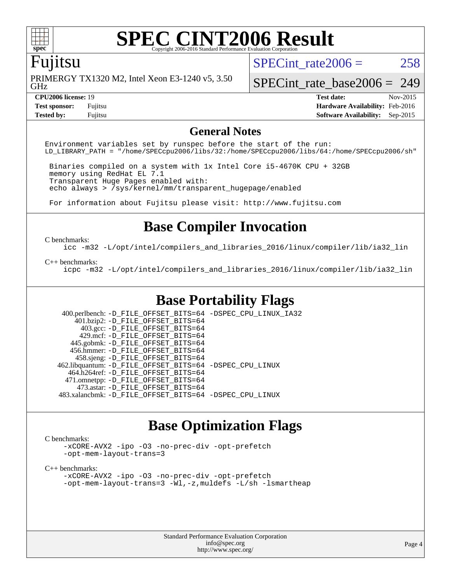

## **[SPEC CINT2006 Result](http://www.spec.org/auto/cpu2006/Docs/result-fields.html#SPECCINT2006Result)**

### Fujitsu

GHz PRIMERGY TX1320 M2, Intel Xeon E3-1240 v5, 3.50 SPECint rate $2006 = 258$ 

[SPECint\\_rate\\_base2006 =](http://www.spec.org/auto/cpu2006/Docs/result-fields.html#SPECintratebase2006) 249

**[Tested by:](http://www.spec.org/auto/cpu2006/Docs/result-fields.html#Testedby)** Fujitsu **[Software Availability:](http://www.spec.org/auto/cpu2006/Docs/result-fields.html#SoftwareAvailability)** Sep-2015

**[CPU2006 license:](http://www.spec.org/auto/cpu2006/Docs/result-fields.html#CPU2006license)** 19 **[Test date:](http://www.spec.org/auto/cpu2006/Docs/result-fields.html#Testdate)** Nov-2015 **[Test sponsor:](http://www.spec.org/auto/cpu2006/Docs/result-fields.html#Testsponsor)** Fujitsu **[Hardware Availability:](http://www.spec.org/auto/cpu2006/Docs/result-fields.html#HardwareAvailability)** Feb-2016

### **[General Notes](http://www.spec.org/auto/cpu2006/Docs/result-fields.html#GeneralNotes)**

Environment variables set by runspec before the start of the run: LD\_LIBRARY\_PATH = "/home/SPECcpu2006/libs/32:/home/SPECcpu2006/libs/64:/home/SPECcpu2006/sh"

 Binaries compiled on a system with 1x Intel Core i5-4670K CPU + 32GB memory using RedHat EL 7.1 Transparent Huge Pages enabled with: echo always > /sys/kernel/mm/transparent\_hugepage/enabled

For information about Fujitsu please visit: <http://www.fujitsu.com>

### **[Base Compiler Invocation](http://www.spec.org/auto/cpu2006/Docs/result-fields.html#BaseCompilerInvocation)**

#### [C benchmarks](http://www.spec.org/auto/cpu2006/Docs/result-fields.html#Cbenchmarks):

[icc -m32 -L/opt/intel/compilers\\_and\\_libraries\\_2016/linux/compiler/lib/ia32\\_lin](http://www.spec.org/cpu2006/results/res2016q1/cpu2006-20160111-38690.flags.html#user_CCbase_intel_icc_e10256ba5924b668798078a321b0cb3f)

#### [C++ benchmarks:](http://www.spec.org/auto/cpu2006/Docs/result-fields.html#CXXbenchmarks)

[icpc -m32 -L/opt/intel/compilers\\_and\\_libraries\\_2016/linux/compiler/lib/ia32\\_lin](http://www.spec.org/cpu2006/results/res2016q1/cpu2006-20160111-38690.flags.html#user_CXXbase_intel_icpc_b4f50a394bdb4597aa5879c16bc3f5c5)

### **[Base Portability Flags](http://www.spec.org/auto/cpu2006/Docs/result-fields.html#BasePortabilityFlags)**

 400.perlbench: [-D\\_FILE\\_OFFSET\\_BITS=64](http://www.spec.org/cpu2006/results/res2016q1/cpu2006-20160111-38690.flags.html#user_basePORTABILITY400_perlbench_file_offset_bits_64_438cf9856305ebd76870a2c6dc2689ab) [-DSPEC\\_CPU\\_LINUX\\_IA32](http://www.spec.org/cpu2006/results/res2016q1/cpu2006-20160111-38690.flags.html#b400.perlbench_baseCPORTABILITY_DSPEC_CPU_LINUX_IA32) 401.bzip2: [-D\\_FILE\\_OFFSET\\_BITS=64](http://www.spec.org/cpu2006/results/res2016q1/cpu2006-20160111-38690.flags.html#user_basePORTABILITY401_bzip2_file_offset_bits_64_438cf9856305ebd76870a2c6dc2689ab) 403.gcc: [-D\\_FILE\\_OFFSET\\_BITS=64](http://www.spec.org/cpu2006/results/res2016q1/cpu2006-20160111-38690.flags.html#user_basePORTABILITY403_gcc_file_offset_bits_64_438cf9856305ebd76870a2c6dc2689ab) 429.mcf: [-D\\_FILE\\_OFFSET\\_BITS=64](http://www.spec.org/cpu2006/results/res2016q1/cpu2006-20160111-38690.flags.html#user_basePORTABILITY429_mcf_file_offset_bits_64_438cf9856305ebd76870a2c6dc2689ab) 445.gobmk: [-D\\_FILE\\_OFFSET\\_BITS=64](http://www.spec.org/cpu2006/results/res2016q1/cpu2006-20160111-38690.flags.html#user_basePORTABILITY445_gobmk_file_offset_bits_64_438cf9856305ebd76870a2c6dc2689ab) 456.hmmer: [-D\\_FILE\\_OFFSET\\_BITS=64](http://www.spec.org/cpu2006/results/res2016q1/cpu2006-20160111-38690.flags.html#user_basePORTABILITY456_hmmer_file_offset_bits_64_438cf9856305ebd76870a2c6dc2689ab) 458.sjeng: [-D\\_FILE\\_OFFSET\\_BITS=64](http://www.spec.org/cpu2006/results/res2016q1/cpu2006-20160111-38690.flags.html#user_basePORTABILITY458_sjeng_file_offset_bits_64_438cf9856305ebd76870a2c6dc2689ab) 462.libquantum: [-D\\_FILE\\_OFFSET\\_BITS=64](http://www.spec.org/cpu2006/results/res2016q1/cpu2006-20160111-38690.flags.html#user_basePORTABILITY462_libquantum_file_offset_bits_64_438cf9856305ebd76870a2c6dc2689ab) [-DSPEC\\_CPU\\_LINUX](http://www.spec.org/cpu2006/results/res2016q1/cpu2006-20160111-38690.flags.html#b462.libquantum_baseCPORTABILITY_DSPEC_CPU_LINUX) 464.h264ref: [-D\\_FILE\\_OFFSET\\_BITS=64](http://www.spec.org/cpu2006/results/res2016q1/cpu2006-20160111-38690.flags.html#user_basePORTABILITY464_h264ref_file_offset_bits_64_438cf9856305ebd76870a2c6dc2689ab) 471.omnetpp: [-D\\_FILE\\_OFFSET\\_BITS=64](http://www.spec.org/cpu2006/results/res2016q1/cpu2006-20160111-38690.flags.html#user_basePORTABILITY471_omnetpp_file_offset_bits_64_438cf9856305ebd76870a2c6dc2689ab) 473.astar: [-D\\_FILE\\_OFFSET\\_BITS=64](http://www.spec.org/cpu2006/results/res2016q1/cpu2006-20160111-38690.flags.html#user_basePORTABILITY473_astar_file_offset_bits_64_438cf9856305ebd76870a2c6dc2689ab) 483.xalancbmk: [-D\\_FILE\\_OFFSET\\_BITS=64](http://www.spec.org/cpu2006/results/res2016q1/cpu2006-20160111-38690.flags.html#user_basePORTABILITY483_xalancbmk_file_offset_bits_64_438cf9856305ebd76870a2c6dc2689ab) [-DSPEC\\_CPU\\_LINUX](http://www.spec.org/cpu2006/results/res2016q1/cpu2006-20160111-38690.flags.html#b483.xalancbmk_baseCXXPORTABILITY_DSPEC_CPU_LINUX)

### **[Base Optimization Flags](http://www.spec.org/auto/cpu2006/Docs/result-fields.html#BaseOptimizationFlags)**

### [C benchmarks](http://www.spec.org/auto/cpu2006/Docs/result-fields.html#Cbenchmarks):

[-xCORE-AVX2](http://www.spec.org/cpu2006/results/res2016q1/cpu2006-20160111-38690.flags.html#user_CCbase_f-xAVX2_5f5fc0cbe2c9f62c816d3e45806c70d7) [-ipo](http://www.spec.org/cpu2006/results/res2016q1/cpu2006-20160111-38690.flags.html#user_CCbase_f-ipo) [-O3](http://www.spec.org/cpu2006/results/res2016q1/cpu2006-20160111-38690.flags.html#user_CCbase_f-O3) [-no-prec-div](http://www.spec.org/cpu2006/results/res2016q1/cpu2006-20160111-38690.flags.html#user_CCbase_f-no-prec-div) [-opt-prefetch](http://www.spec.org/cpu2006/results/res2016q1/cpu2006-20160111-38690.flags.html#user_CCbase_f-opt-prefetch) [-opt-mem-layout-trans=3](http://www.spec.org/cpu2006/results/res2016q1/cpu2006-20160111-38690.flags.html#user_CCbase_f-opt-mem-layout-trans_a7b82ad4bd7abf52556d4961a2ae94d5)

#### [C++ benchmarks:](http://www.spec.org/auto/cpu2006/Docs/result-fields.html#CXXbenchmarks)

[-xCORE-AVX2](http://www.spec.org/cpu2006/results/res2016q1/cpu2006-20160111-38690.flags.html#user_CXXbase_f-xAVX2_5f5fc0cbe2c9f62c816d3e45806c70d7) [-ipo](http://www.spec.org/cpu2006/results/res2016q1/cpu2006-20160111-38690.flags.html#user_CXXbase_f-ipo) [-O3](http://www.spec.org/cpu2006/results/res2016q1/cpu2006-20160111-38690.flags.html#user_CXXbase_f-O3) [-no-prec-div](http://www.spec.org/cpu2006/results/res2016q1/cpu2006-20160111-38690.flags.html#user_CXXbase_f-no-prec-div) [-opt-prefetch](http://www.spec.org/cpu2006/results/res2016q1/cpu2006-20160111-38690.flags.html#user_CXXbase_f-opt-prefetch) [-opt-mem-layout-trans=3](http://www.spec.org/cpu2006/results/res2016q1/cpu2006-20160111-38690.flags.html#user_CXXbase_f-opt-mem-layout-trans_a7b82ad4bd7abf52556d4961a2ae94d5) [-Wl,-z,muldefs](http://www.spec.org/cpu2006/results/res2016q1/cpu2006-20160111-38690.flags.html#user_CXXbase_link_force_multiple1_74079c344b956b9658436fd1b6dd3a8a) [-L/sh -lsmartheap](http://www.spec.org/cpu2006/results/res2016q1/cpu2006-20160111-38690.flags.html#user_CXXbase_SmartHeap_32f6c82aa1ed9c52345d30cf6e4a0499)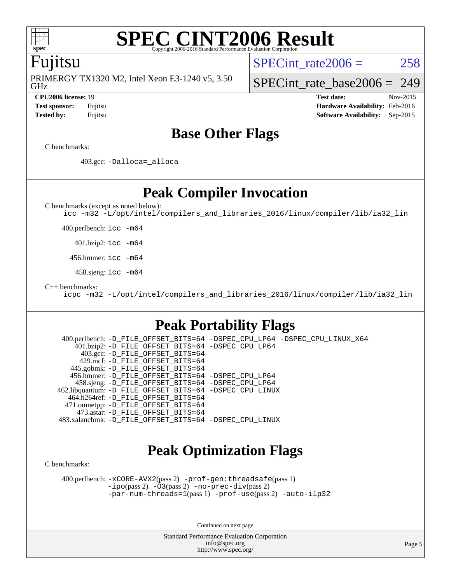

### **[SPEC CINT2006 Result](http://www.spec.org/auto/cpu2006/Docs/result-fields.html#SPECCINT2006Result)** Copyright 2006-2016 Standard Performance Evaluation

### Fujitsu

GHz PRIMERGY TX1320 M2, Intel Xeon E3-1240 v5, 3.50 SPECint rate $2006 = 258$ 

[SPECint\\_rate\\_base2006 =](http://www.spec.org/auto/cpu2006/Docs/result-fields.html#SPECintratebase2006) 249

**[CPU2006 license:](http://www.spec.org/auto/cpu2006/Docs/result-fields.html#CPU2006license)** 19 **[Test date:](http://www.spec.org/auto/cpu2006/Docs/result-fields.html#Testdate)** Nov-2015 **[Test sponsor:](http://www.spec.org/auto/cpu2006/Docs/result-fields.html#Testsponsor)** Fujitsu **[Hardware Availability:](http://www.spec.org/auto/cpu2006/Docs/result-fields.html#HardwareAvailability)** Feb-2016 **[Tested by:](http://www.spec.org/auto/cpu2006/Docs/result-fields.html#Testedby)** Fujitsu **[Software Availability:](http://www.spec.org/auto/cpu2006/Docs/result-fields.html#SoftwareAvailability)** Sep-2015

### **[Base Other Flags](http://www.spec.org/auto/cpu2006/Docs/result-fields.html#BaseOtherFlags)**

[C benchmarks](http://www.spec.org/auto/cpu2006/Docs/result-fields.html#Cbenchmarks):

403.gcc: [-Dalloca=\\_alloca](http://www.spec.org/cpu2006/results/res2016q1/cpu2006-20160111-38690.flags.html#b403.gcc_baseEXTRA_CFLAGS_Dalloca_be3056838c12de2578596ca5467af7f3)

**[Peak Compiler Invocation](http://www.spec.org/auto/cpu2006/Docs/result-fields.html#PeakCompilerInvocation)**

[C benchmarks \(except as noted below\)](http://www.spec.org/auto/cpu2006/Docs/result-fields.html#Cbenchmarksexceptasnotedbelow):

[icc -m32 -L/opt/intel/compilers\\_and\\_libraries\\_2016/linux/compiler/lib/ia32\\_lin](http://www.spec.org/cpu2006/results/res2016q1/cpu2006-20160111-38690.flags.html#user_CCpeak_intel_icc_e10256ba5924b668798078a321b0cb3f)

400.perlbench: [icc -m64](http://www.spec.org/cpu2006/results/res2016q1/cpu2006-20160111-38690.flags.html#user_peakCCLD400_perlbench_intel_icc_64bit_bda6cc9af1fdbb0edc3795bac97ada53)

401.bzip2: [icc -m64](http://www.spec.org/cpu2006/results/res2016q1/cpu2006-20160111-38690.flags.html#user_peakCCLD401_bzip2_intel_icc_64bit_bda6cc9af1fdbb0edc3795bac97ada53)

456.hmmer: [icc -m64](http://www.spec.org/cpu2006/results/res2016q1/cpu2006-20160111-38690.flags.html#user_peakCCLD456_hmmer_intel_icc_64bit_bda6cc9af1fdbb0edc3795bac97ada53)

458.sjeng: [icc -m64](http://www.spec.org/cpu2006/results/res2016q1/cpu2006-20160111-38690.flags.html#user_peakCCLD458_sjeng_intel_icc_64bit_bda6cc9af1fdbb0edc3795bac97ada53)

[C++ benchmarks:](http://www.spec.org/auto/cpu2006/Docs/result-fields.html#CXXbenchmarks)

[icpc -m32 -L/opt/intel/compilers\\_and\\_libraries\\_2016/linux/compiler/lib/ia32\\_lin](http://www.spec.org/cpu2006/results/res2016q1/cpu2006-20160111-38690.flags.html#user_CXXpeak_intel_icpc_b4f50a394bdb4597aa5879c16bc3f5c5)

### **[Peak Portability Flags](http://www.spec.org/auto/cpu2006/Docs/result-fields.html#PeakPortabilityFlags)**

 400.perlbench: [-D\\_FILE\\_OFFSET\\_BITS=64](http://www.spec.org/cpu2006/results/res2016q1/cpu2006-20160111-38690.flags.html#user_peakPORTABILITY400_perlbench_file_offset_bits_64_438cf9856305ebd76870a2c6dc2689ab) [-DSPEC\\_CPU\\_LP64](http://www.spec.org/cpu2006/results/res2016q1/cpu2006-20160111-38690.flags.html#b400.perlbench_peakCPORTABILITY_DSPEC_CPU_LP64) [-DSPEC\\_CPU\\_LINUX\\_X64](http://www.spec.org/cpu2006/results/res2016q1/cpu2006-20160111-38690.flags.html#b400.perlbench_peakCPORTABILITY_DSPEC_CPU_LINUX_X64) 401.bzip2: [-D\\_FILE\\_OFFSET\\_BITS=64](http://www.spec.org/cpu2006/results/res2016q1/cpu2006-20160111-38690.flags.html#user_peakPORTABILITY401_bzip2_file_offset_bits_64_438cf9856305ebd76870a2c6dc2689ab) [-DSPEC\\_CPU\\_LP64](http://www.spec.org/cpu2006/results/res2016q1/cpu2006-20160111-38690.flags.html#suite_peakCPORTABILITY401_bzip2_DSPEC_CPU_LP64) 403.gcc: [-D\\_FILE\\_OFFSET\\_BITS=64](http://www.spec.org/cpu2006/results/res2016q1/cpu2006-20160111-38690.flags.html#user_peakPORTABILITY403_gcc_file_offset_bits_64_438cf9856305ebd76870a2c6dc2689ab) 429.mcf: [-D\\_FILE\\_OFFSET\\_BITS=64](http://www.spec.org/cpu2006/results/res2016q1/cpu2006-20160111-38690.flags.html#user_peakPORTABILITY429_mcf_file_offset_bits_64_438cf9856305ebd76870a2c6dc2689ab) 445.gobmk: [-D\\_FILE\\_OFFSET\\_BITS=64](http://www.spec.org/cpu2006/results/res2016q1/cpu2006-20160111-38690.flags.html#user_peakPORTABILITY445_gobmk_file_offset_bits_64_438cf9856305ebd76870a2c6dc2689ab) 456.hmmer: [-D\\_FILE\\_OFFSET\\_BITS=64](http://www.spec.org/cpu2006/results/res2016q1/cpu2006-20160111-38690.flags.html#user_peakPORTABILITY456_hmmer_file_offset_bits_64_438cf9856305ebd76870a2c6dc2689ab) [-DSPEC\\_CPU\\_LP64](http://www.spec.org/cpu2006/results/res2016q1/cpu2006-20160111-38690.flags.html#suite_peakCPORTABILITY456_hmmer_DSPEC_CPU_LP64) 458.sjeng: [-D\\_FILE\\_OFFSET\\_BITS=64](http://www.spec.org/cpu2006/results/res2016q1/cpu2006-20160111-38690.flags.html#user_peakPORTABILITY458_sjeng_file_offset_bits_64_438cf9856305ebd76870a2c6dc2689ab) [-DSPEC\\_CPU\\_LP64](http://www.spec.org/cpu2006/results/res2016q1/cpu2006-20160111-38690.flags.html#suite_peakCPORTABILITY458_sjeng_DSPEC_CPU_LP64) 462.libquantum: [-D\\_FILE\\_OFFSET\\_BITS=64](http://www.spec.org/cpu2006/results/res2016q1/cpu2006-20160111-38690.flags.html#user_peakPORTABILITY462_libquantum_file_offset_bits_64_438cf9856305ebd76870a2c6dc2689ab) [-DSPEC\\_CPU\\_LINUX](http://www.spec.org/cpu2006/results/res2016q1/cpu2006-20160111-38690.flags.html#b462.libquantum_peakCPORTABILITY_DSPEC_CPU_LINUX) 464.h264ref: [-D\\_FILE\\_OFFSET\\_BITS=64](http://www.spec.org/cpu2006/results/res2016q1/cpu2006-20160111-38690.flags.html#user_peakPORTABILITY464_h264ref_file_offset_bits_64_438cf9856305ebd76870a2c6dc2689ab) 471.omnetpp: [-D\\_FILE\\_OFFSET\\_BITS=64](http://www.spec.org/cpu2006/results/res2016q1/cpu2006-20160111-38690.flags.html#user_peakPORTABILITY471_omnetpp_file_offset_bits_64_438cf9856305ebd76870a2c6dc2689ab) 473.astar: [-D\\_FILE\\_OFFSET\\_BITS=64](http://www.spec.org/cpu2006/results/res2016q1/cpu2006-20160111-38690.flags.html#user_peakPORTABILITY473_astar_file_offset_bits_64_438cf9856305ebd76870a2c6dc2689ab) 483.xalancbmk: [-D\\_FILE\\_OFFSET\\_BITS=64](http://www.spec.org/cpu2006/results/res2016q1/cpu2006-20160111-38690.flags.html#user_peakPORTABILITY483_xalancbmk_file_offset_bits_64_438cf9856305ebd76870a2c6dc2689ab) [-DSPEC\\_CPU\\_LINUX](http://www.spec.org/cpu2006/results/res2016q1/cpu2006-20160111-38690.flags.html#b483.xalancbmk_peakCXXPORTABILITY_DSPEC_CPU_LINUX)

### **[Peak Optimization Flags](http://www.spec.org/auto/cpu2006/Docs/result-fields.html#PeakOptimizationFlags)**

[C benchmarks](http://www.spec.org/auto/cpu2006/Docs/result-fields.html#Cbenchmarks):

 400.perlbench: [-xCORE-AVX2](http://www.spec.org/cpu2006/results/res2016q1/cpu2006-20160111-38690.flags.html#user_peakPASS2_CFLAGSPASS2_LDCFLAGS400_perlbench_f-xAVX2_5f5fc0cbe2c9f62c816d3e45806c70d7)(pass 2) [-prof-gen:threadsafe](http://www.spec.org/cpu2006/results/res2016q1/cpu2006-20160111-38690.flags.html#user_peakPASS1_CFLAGSPASS1_LDCFLAGS400_perlbench_prof_gen_21a26eb79f378b550acd7bec9fe4467a)(pass 1) [-ipo](http://www.spec.org/cpu2006/results/res2016q1/cpu2006-20160111-38690.flags.html#user_peakPASS2_CFLAGSPASS2_LDCFLAGS400_perlbench_f-ipo)(pass 2) [-O3](http://www.spec.org/cpu2006/results/res2016q1/cpu2006-20160111-38690.flags.html#user_peakPASS2_CFLAGSPASS2_LDCFLAGS400_perlbench_f-O3)(pass 2) [-no-prec-div](http://www.spec.org/cpu2006/results/res2016q1/cpu2006-20160111-38690.flags.html#user_peakPASS2_CFLAGSPASS2_LDCFLAGS400_perlbench_f-no-prec-div)(pass 2) [-par-num-threads=1](http://www.spec.org/cpu2006/results/res2016q1/cpu2006-20160111-38690.flags.html#user_peakPASS1_CFLAGSPASS1_LDCFLAGS400_perlbench_par_num_threads_786a6ff141b4e9e90432e998842df6c2)(pass 1) [-prof-use](http://www.spec.org/cpu2006/results/res2016q1/cpu2006-20160111-38690.flags.html#user_peakPASS2_CFLAGSPASS2_LDCFLAGS400_perlbench_prof_use_bccf7792157ff70d64e32fe3e1250b55)(pass 2) [-auto-ilp32](http://www.spec.org/cpu2006/results/res2016q1/cpu2006-20160111-38690.flags.html#user_peakCOPTIMIZE400_perlbench_f-auto-ilp32)

Continued on next page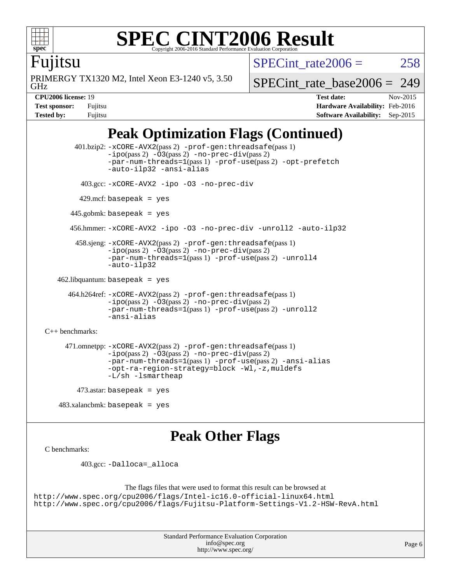

### **[SPEC CINT2006 Result](http://www.spec.org/auto/cpu2006/Docs/result-fields.html#SPECCINT2006Result)** Copyright 2006-2016 Standard Performance Evaluation C

SPECint rate $2006 = 258$ 

Fujitsu

GHz PRIMERGY TX1320 M2, Intel Xeon E3-1240 v5, 3.50 [SPECint\\_rate\\_base2006 =](http://www.spec.org/auto/cpu2006/Docs/result-fields.html#SPECintratebase2006) 249

**[CPU2006 license:](http://www.spec.org/auto/cpu2006/Docs/result-fields.html#CPU2006license)** 19 **[Test date:](http://www.spec.org/auto/cpu2006/Docs/result-fields.html#Testdate)** Nov-2015 **[Test sponsor:](http://www.spec.org/auto/cpu2006/Docs/result-fields.html#Testsponsor)** Fujitsu **[Hardware Availability:](http://www.spec.org/auto/cpu2006/Docs/result-fields.html#HardwareAvailability)** Feb-2016 **[Tested by:](http://www.spec.org/auto/cpu2006/Docs/result-fields.html#Testedby)** Fujitsu **[Software Availability:](http://www.spec.org/auto/cpu2006/Docs/result-fields.html#SoftwareAvailability)** Sep-2015

## **[Peak Optimization Flags \(Continued\)](http://www.spec.org/auto/cpu2006/Docs/result-fields.html#PeakOptimizationFlags)**

```
 401.bzip2: -xCORE-AVX2(pass 2) -prof-gen:threadsafe(pass 1)
               -no-prec-div(pass 2)-par-num-threads=1(pass 1) -prof-use(pass 2) -opt-prefetch
               -auto-ilp32 -ansi-alias
         403.gcc: -xCORE-AVX2 -ipo -O3 -no-prec-div
        429.mcf: basepeak = yes
       445.gobmk: basepeak = yes
       456.hmmer: -xCORE-AVX2 -ipo -O3 -no-prec-div -unroll2 -auto-ilp32
        458.sjeng: -xCORE-AVX2(pass 2) -prof-gen:threadsafe(pass 1)
               -ipo(pass 2) -O3(pass 2) -no-prec-div(pass 2)
               -par-num-threads=1(pass 1) -prof-use(pass 2) -unroll4
               -auto-ilp32
  462.libquantum: basepeak = yes
      464.h264ref: -xCORE-AVX2(pass 2) -prof-gen:threadsafe(pass 1)
               -no-prec-div(pass 2)-par-num-threads=1(pass 1) -prof-use(pass 2) -unroll2
               -ansi-alias
C++ benchmarks: 
     471.omnetpp: -xCORE-AVX2(pass 2) -prof-gen:threadsafe(pass 1)
               -no-prec-div(pass 2)-par-num-threads=1(pass 1) -prof-use(pass 2) -ansi-alias
               -opt-ra-region-strategy=block -Wl,-z,muldefs
               -L/sh -lsmartheap
       473.astar: basepeak = yes
```
483.xalancbmk: basepeak = yes

### **[Peak Other Flags](http://www.spec.org/auto/cpu2006/Docs/result-fields.html#PeakOtherFlags)**

```
C benchmarks:
```
403.gcc: [-Dalloca=\\_alloca](http://www.spec.org/cpu2006/results/res2016q1/cpu2006-20160111-38690.flags.html#b403.gcc_peakEXTRA_CFLAGS_Dalloca_be3056838c12de2578596ca5467af7f3)

```
The flags files that were used to format this result can be browsed at
http://www.spec.org/cpu2006/flags/Intel-ic16.0-official-linux64.html
http://www.spec.org/cpu2006/flags/Fujitsu-Platform-Settings-V1.2-HSW-RevA.html
```